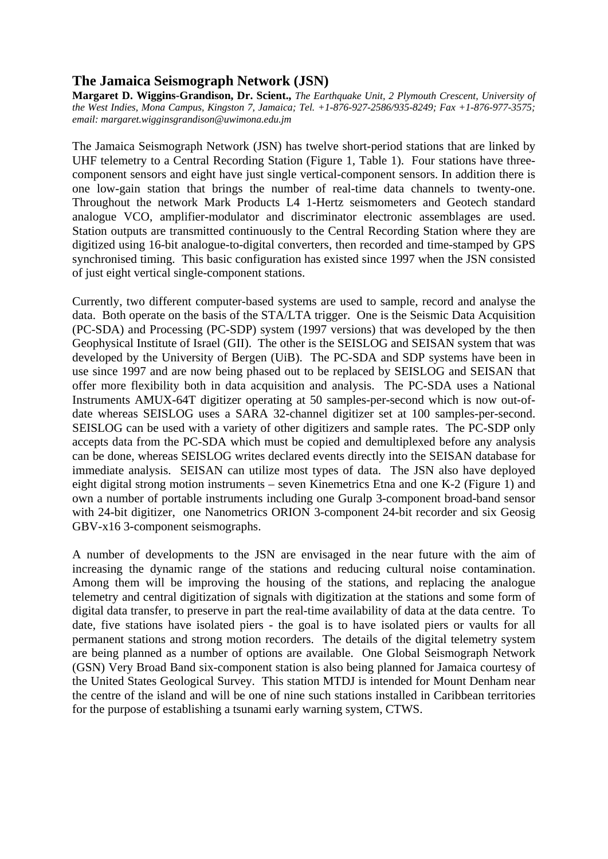## **The Jamaica Seismograph Network (JSN)**

**Margaret D. Wiggins-Grandison, Dr. Scient.,** *The Earthquake Unit, 2 Plymouth Crescent, University of the West Indies, Mona Campus, Kingston 7, Jamaica; Tel. +1-876-927-2586/935-8249; Fax +1-876-977-3575; email: margaret.wigginsgrandison@uwimona.edu.jm* 

The Jamaica Seismograph Network (JSN) has twelve short-period stations that are linked by UHF telemetry to a Central Recording Station (Figure 1, Table 1). Four stations have threecomponent sensors and eight have just single vertical-component sensors. In addition there is one low-gain station that brings the number of real-time data channels to twenty-one. Throughout the network Mark Products L4 1-Hertz seismometers and Geotech standard analogue VCO, amplifier-modulator and discriminator electronic assemblages are used. Station outputs are transmitted continuously to the Central Recording Station where they are digitized using 16-bit analogue-to-digital converters, then recorded and time-stamped by GPS synchronised timing. This basic configuration has existed since 1997 when the JSN consisted of just eight vertical single-component stations.

Currently, two different computer-based systems are used to sample, record and analyse the data. Both operate on the basis of the STA/LTA trigger. One is the Seismic Data Acquisition (PC-SDA) and Processing (PC-SDP) system (1997 versions) that was developed by the then Geophysical Institute of Israel (GII). The other is the SEISLOG and SEISAN system that was developed by the University of Bergen (UiB). The PC-SDA and SDP systems have been in use since 1997 and are now being phased out to be replaced by SEISLOG and SEISAN that offer more flexibility both in data acquisition and analysis. The PC-SDA uses a National Instruments AMUX-64T digitizer operating at 50 samples-per-second which is now out-ofdate whereas SEISLOG uses a SARA 32-channel digitizer set at 100 samples-per-second. SEISLOG can be used with a variety of other digitizers and sample rates. The PC-SDP only accepts data from the PC-SDA which must be copied and demultiplexed before any analysis can be done, whereas SEISLOG writes declared events directly into the SEISAN database for immediate analysis. SEISAN can utilize most types of data. The JSN also have deployed eight digital strong motion instruments – seven Kinemetrics Etna and one K-2 (Figure 1) and own a number of portable instruments including one Guralp 3-component broad-band sensor with 24-bit digitizer, one Nanometrics ORION 3-component 24-bit recorder and six Geosig GBV-x16 3-component seismographs.

A number of developments to the JSN are envisaged in the near future with the aim of increasing the dynamic range of the stations and reducing cultural noise contamination. Among them will be improving the housing of the stations, and replacing the analogue telemetry and central digitization of signals with digitization at the stations and some form of digital data transfer, to preserve in part the real-time availability of data at the data centre. To date, five stations have isolated piers - the goal is to have isolated piers or vaults for all permanent stations and strong motion recorders. The details of the digital telemetry system are being planned as a number of options are available. One Global Seismograph Network (GSN) Very Broad Band six-component station is also being planned for Jamaica courtesy of the United States Geological Survey. This station MTDJ is intended for Mount Denham near the centre of the island and will be one of nine such stations installed in Caribbean territories for the purpose of establishing a tsunami early warning system, CTWS.